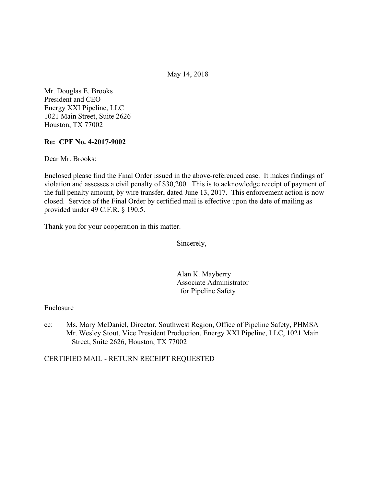May 14, 2018

Mr. Douglas E. Brooks President and CEO Energy XXI Pipeline, LLC 1021 Main Street, Suite 2626 Houston, TX 77002

#### **Re: CPF No. 4-2017-9002**

Dear Mr. Brooks:

Enclosed please find the Final Order issued in the above-referenced case. It makes findings of violation and assesses a civil penalty of \$30,200. This is to acknowledge receipt of payment of the full penalty amount, by wire transfer, dated June 13, 2017. This enforcement action is now closed. Service of the Final Order by certified mail is effective upon the date of mailing as provided under 49 C.F.R. § 190.5.

Thank you for your cooperation in this matter.

Sincerely,

Alan K. Mayberry Associate Administrator for Pipeline Safety

#### Enclosure

cc: Ms. Mary McDaniel, Director, Southwest Region, Office of Pipeline Safety, PHMSA Mr. Wesley Stout, Vice President Production, Energy XXI Pipeline, LLC, 1021 Main Street, Suite 2626, Houston, TX 77002

## CERTIFIED MAIL - RETURN RECEIPT REQUESTED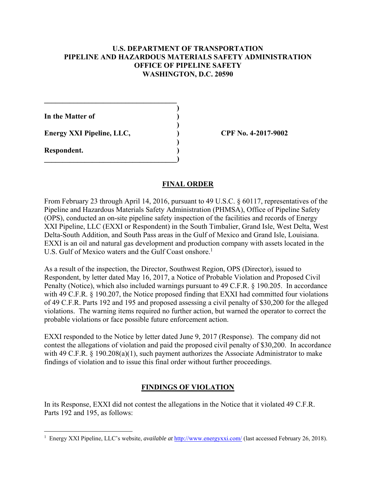### **U.S. DEPARTMENT OF TRANSPORTATION PIPELINE AND HAZARDOUS MATERIALS SAFETY ADMINISTRATION OFFICE OF PIPELINE SAFETY WASHINGTON, D.C. 20590**

**)**

 **)**

 **)**

**In the Matter of )**

Energy XXI Pipeline, LLC,  $\qquad \qquad$  (PF No. 4-2017-9002)

 $\mathcal{L}=\{1,2,3,4,5\}$ 

**\_\_\_\_\_\_\_\_\_\_\_\_\_\_\_\_\_\_\_\_\_\_\_\_\_\_\_\_\_\_\_\_\_\_\_\_)** 

**Respondent. )** 

# **FINAL ORDER**

U.S. Gulf of Mexico waters and the Gulf Coast onshore.<sup>1</sup> From February 23 through April 14, 2016, pursuant to 49 U.S.C. § 60117, representatives of the Pipeline and Hazardous Materials Safety Administration (PHMSA), Office of Pipeline Safety (OPS), conducted an on-site pipeline safety inspection of the facilities and records of Energy XXI Pipeline, LLC (EXXI or Respondent) in the South Timbalier, Grand Isle, West Delta, West Delta-South Addition, and South Pass areas in the Gulf of Mexico and Grand Isle, Louisiana. EXXI is an oil and natural gas development and production company with assets located in the

 probable violations or face possible future enforcement action. As a result of the inspection, the Director, Southwest Region, OPS (Director), issued to Respondent, by letter dated May 16, 2017, a Notice of Probable Violation and Proposed Civil Penalty (Notice), which also included warnings pursuant to 49 C.F.R. § 190.205. In accordance with 49 C.F.R. § 190.207, the Notice proposed finding that EXXI had committed four violations of 49 C.F.R. Parts 192 and 195 and proposed assessing a civil penalty of \$30,200 for the alleged violations. The warning items required no further action, but warned the operator to correct the

EXXI responded to the Notice by letter dated June 9, 2017 (Response). The company did not contest the allegations of violation and paid the proposed civil penalty of \$30,200. In accordance with 49 C.F.R. § 190.208(a)(1), such payment authorizes the Associate Administrator to make findings of violation and to issue this final order without further proceedings.

# **FINDINGS OF VIOLATION**

In its Response, EXXI did not contest the allegations in the Notice that it violated 49 C.F.R. Parts 192 and 195, as follows:

 $\overline{a}$ <sup>1</sup> Energy XXI Pipeline, LLC's website, *available at* http://www.energyxxi.com/ (last accessed February 26, 2018).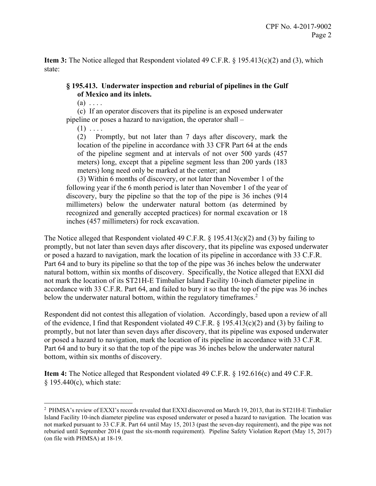**Item 3:** The Notice alleged that Respondent violated 49 C.F.R. § 195.413(c)(2) and (3), which state:

## **§ 195.413. Underwater inspection and reburial of pipelines in the Gulf of Mexico and its inlets.**

 $(a) \ldots$ 

(c) If an operator discovers that its pipeline is an exposed underwater pipeline or poses a hazard to navigation, the operator shall –

 $(1) \ldots$ 

 $\overline{a}$ 

 (2) Promptly, but not later than 7 days after discovery, mark the location of the pipeline in accordance with 33 CFR Part 64 at the ends of the pipeline segment and at intervals of not over 500 yards (457 meters) long, except that a pipeline segment less than 200 yards (183 meters) long need only be marked at the center; and

(3) Within 6 months of discovery, or not later than November 1 of the following year if the 6 month period is later than November 1 of the year of discovery, bury the pipeline so that the top of the pipe is 36 inches (914 millimeters) below the underwater natural bottom (as determined by recognized and generally accepted practices) for normal excavation or 18 inches (457 millimeters) for rock excavation.

below the underwater natural bottom, within the regulatory time frames.<sup>2</sup> The Notice alleged that Respondent violated 49 C.F.R. § 195.413(c)(2) and (3) by failing to promptly, but not later than seven days after discovery, that its pipeline was exposed underwater or posed a hazard to navigation, mark the location of its pipeline in accordance with 33 C.F.R. Part 64 and to bury its pipeline so that the top of the pipe was 36 inches below the underwater natural bottom, within six months of discovery. Specifically, the Notice alleged that EXXI did not mark the location of its ST21H-E Timbalier Island Facility 10-inch diameter pipeline in accordance with 33 C.F.R. Part 64, and failed to bury it so that the top of the pipe was 36 inches

Respondent did not contest this allegation of violation. Accordingly, based upon a review of all of the evidence, I find that Respondent violated 49 C.F.R.  $\S$  195.413(c)(2) and (3) by failing to promptly, but not later than seven days after discovery, that its pipeline was exposed underwater or posed a hazard to navigation, mark the location of its pipeline in accordance with 33 C.F.R. Part 64 and to bury it so that the top of the pipe was 36 inches below the underwater natural bottom, within six months of discovery.

**Item 4:** The Notice alleged that Respondent violated 49 C.F.R. § 192.616(c) and 49 C.F.R. § 195.440(c), which state:

<sup>&</sup>lt;sup>2</sup> PHMSA's review of EXXI's records revealed that EXXI discovered on March 19, 2013, that its ST21H-E Timbalier not marked pursuant to 33 C.F.R. Part 64 until May 15, 2013 (past the seven-day requirement), and the pipe was not reburied until September 2014 (past the six-month requirement). Pipeline Safety Violation Report (May 15, 2017) Island Facility 10-inch diameter pipeline was exposed underwater or posed a hazard to navigation. The location was (on file with PHMSA) at 18-19.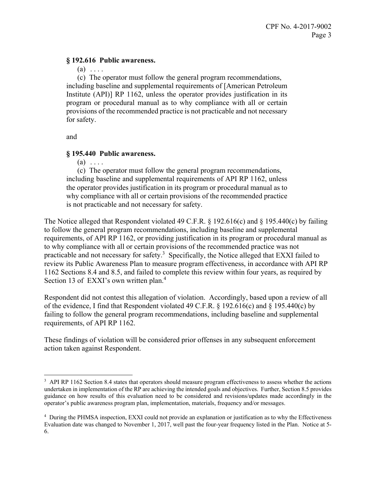### **§ 192.616 Public awareness.**

 $(a) \ldots$ 

 program or procedural manual as to why compliance with all or certain (c) The operator must follow the general program recommendations, including baseline and supplemental requirements of [American Petroleum Institute (API)] RP 1162, unless the operator provides justification in its provisions of the recommended practice is not practicable and not necessary for safety.

and

1

## **§ 195.440 Public awareness.**

 $(a) \ldots$ 

(c) The operator must follow the general program recommendations, including baseline and supplemental requirements of API RP 1162, unless the operator provides justification in its program or procedural manual as to why compliance with all or certain provisions of the recommended practice is not practicable and not necessary for safety.

Section 13 of EXXI's own written plan.<sup>4</sup> The Notice alleged that Respondent violated 49 C.F.R.  $\S$  192.616(c) and  $\S$  195.440(c) by failing to follow the general program recommendations, including baseline and supplemental requirements, of API RP 1162, or providing justification in its program or procedural manual as to why compliance with all or certain provisions of the recommended practice was not practicable and not necessary for safety.<sup>3</sup> Specifically, the Notice alleged that EXXI failed to review its Public Awareness Plan to measure program effectiveness, in accordance with API RP 1162 Sections 8.4 and 8.5, and failed to complete this review within four years, as required by

Respondent did not contest this allegation of violation. Accordingly, based upon a review of all of the evidence, I find that Respondent violated 49 C.F.R. § 192.616(c) and § 195.440(c) by failing to follow the general program recommendations, including baseline and supplemental requirements, of API RP 1162.

These findings of violation will be considered prior offenses in any subsequent enforcement action taken against Respondent.

<sup>&</sup>lt;sup>3</sup> API RP 1162 Section 8.4 states that operators should measure program effectiveness to assess whether the actions undertaken in implementation of the RP are achieving the intended goals and objectives. Further, Section 8.5 provides guidance on how results of this evaluation need to be considered and revisions/updates made accordingly in the operator's public awareness program plan, implementation, materials, frequency and/or messages.

 4 During the PHMSA inspection, EXXI could not provide an explanation or justification as to why the Effectiveness Evaluation date was changed to November 1, 2017, well past the four-year frequency listed in the Plan. Notice at 5- 6.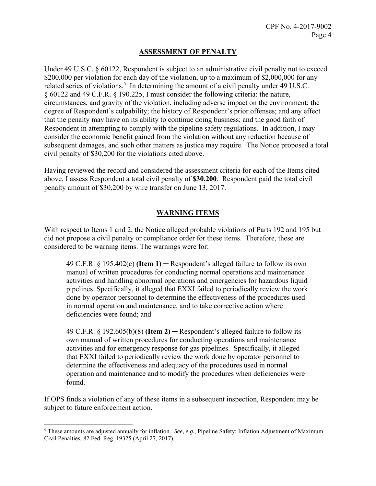### **ASSESSMENT OF PENALTY**

Under 49 U.S.C. § 60122, Respondent is subject to an administrative civil penalty not to exceed \$200,000 per violation for each day of the violation, up to a maximum of \$2,000,000 for any related series of violations.<sup>5</sup> In determining the amount of a civil penalty under 49 U.S.C. § 60122 and 49 C.F.R. § 190.225, I must consider the following criteria: the nature, circumstances, and gravity of the violation, including adverse impact on the environment; the degree of Respondent's culpability; the history of Respondent's prior offenses; and any effect that the penalty may have on its ability to continue doing business; and the good faith of Respondent in attempting to comply with the pipeline safety regulations. In addition, I may consider the economic benefit gained from the violation without any reduction because of subsequent damages, and such other matters as justice may require. The Notice proposed a total civil penalty of \$30,200 for the violations cited above.

Having reviewed the record and considered the assessment criteria for each of the Items cited above, I assess Respondent a total civil penalty of **\$30,200**. Respondent paid the total civil penalty amount of \$30,200 by wire transfer on June 13, 2017.

### **WARNING ITEMS**

With respect to Items 1 and 2, the Notice alleged probable violations of Parts 192 and 195 but did not propose a civil penalty or compliance order for these items. Therefore, these are considered to be warning items. The warnings were for:

49 C.F.R. § 195.402(c) **(Item 1)** ─ Respondent's alleged failure to follow its own manual of written procedures for conducting normal operations and maintenance activities and handling abnormal operations and emergencies for hazardous liquid pipelines. Specifically, it alleged that EXXI failed to periodically review the work done by operator personnel to determine the effectiveness of the procedures used in normal operation and maintenance, and to take corrective action where deficiencies were found; and

49 C.F.R. § 192.605(b)(8) **(Item 2)** ─ Respondent's alleged failure to follow its own manual of written procedures for conducting operations and maintenance activities and for emergency response for gas pipelines. Specifically, it alleged that EXXI failed to periodically review the work done by operator personnel to determine the effectiveness and adequacy of the procedures used in normal operation and maintenance and to modify the procedures when deficiencies were found.

If OPS finds a violation of any of these items in a subsequent inspection, Respondent may be subject to future enforcement action.

 $\overline{a}$ 

<sup>5</sup> These amounts are adjusted annually for inflation. *See, e.g.*, Pipeline Safety: Inflation Adjustment of Maximum Civil Penalties, 82 Fed. Reg. 19325 (April 27, 2017).